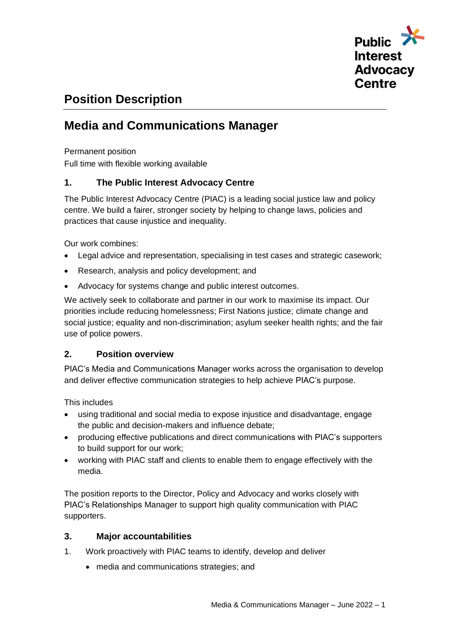

# **Position Description**

# **Media and Communications Manager**

Permanent position

Full time with flexible working available

# **1. The Public Interest Advocacy Centre**

The Public Interest Advocacy Centre (PIAC) is a leading social justice law and policy centre. We build a fairer, stronger society by helping to change laws, policies and practices that cause injustice and inequality.

Our work combines:

- Legal advice and representation, specialising in test cases and strategic casework;
- Research, analysis and policy development; and
- Advocacy for systems change and public interest outcomes.

We actively seek to collaborate and partner in our work to maximise its impact. Our priorities include reducing homelessness; First Nations justice; climate change and social justice; equality and non-discrimination; asylum seeker health rights; and the fair use of police powers.

# **2. Position overview**

PIAC's Media and Communications Manager works across the organisation to develop and deliver effective communication strategies to help achieve PIAC's purpose.

This includes

- using traditional and social media to expose injustice and disadvantage, engage the public and decision-makers and influence debate;
- producing effective publications and direct communications with PIAC's supporters to build support for our work;
- working with PIAC staff and clients to enable them to engage effectively with the media.

The position reports to the Director, Policy and Advocacy and works closely with PIAC's Relationships Manager to support high quality communication with PIAC supporters.

## **3. Major accountabilities**

- 1. Work proactively with PIAC teams to identify, develop and deliver
	- media and communications strategies; and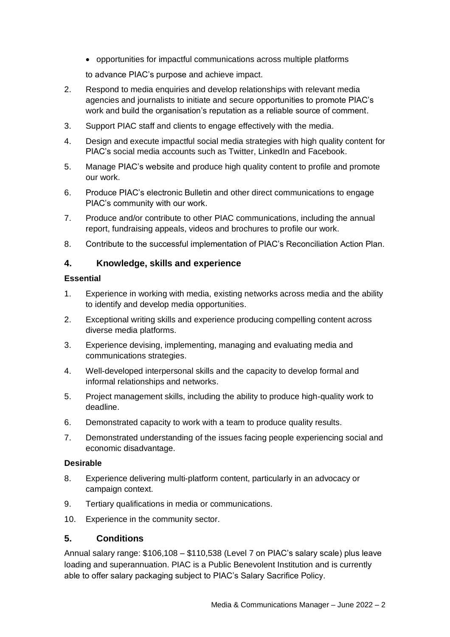• opportunities for impactful communications across multiple platforms

to advance PIAC's purpose and achieve impact.

- 2. Respond to media enquiries and develop relationships with relevant media agencies and journalists to initiate and secure opportunities to promote PIAC's work and build the organisation's reputation as a reliable source of comment.
- 3. Support PIAC staff and clients to engage effectively with the media.
- 4. Design and execute impactful social media strategies with high quality content for PIAC's social media accounts such as Twitter, LinkedIn and Facebook.
- 5. Manage PIAC's website and produce high quality content to profile and promote our work.
- 6. Produce PIAC's electronic Bulletin and other direct communications to engage PIAC's community with our work.
- 7. Produce and/or contribute to other PIAC communications, including the annual report, fundraising appeals, videos and brochures to profile our work.
- 8. Contribute to the successful implementation of PIAC's Reconciliation Action Plan.

## **4. Knowledge, skills and experience**

### **Essential**

- 1. Experience in working with media, existing networks across media and the ability to identify and develop media opportunities.
- 2. Exceptional writing skills and experience producing compelling content across diverse media platforms.
- 3. Experience devising, implementing, managing and evaluating media and communications strategies.
- 4. Well-developed interpersonal skills and the capacity to develop formal and informal relationships and networks.
- 5. Project management skills, including the ability to produce high-quality work to deadline.
- 6. Demonstrated capacity to work with a team to produce quality results.
- 7. Demonstrated understanding of the issues facing people experiencing social and economic disadvantage.

#### **Desirable**

- 8. Experience delivering multi-platform content, particularly in an advocacy or campaign context.
- 9. Tertiary qualifications in media or communications.
- 10. Experience in the community sector.

#### **5. Conditions**

Annual salary range: \$106,108 – \$110,538 (Level 7 on PIAC's salary scale) plus leave loading and superannuation. PIAC is a Public Benevolent Institution and is currently able to offer salary packaging subject to PIAC's Salary Sacrifice Policy.